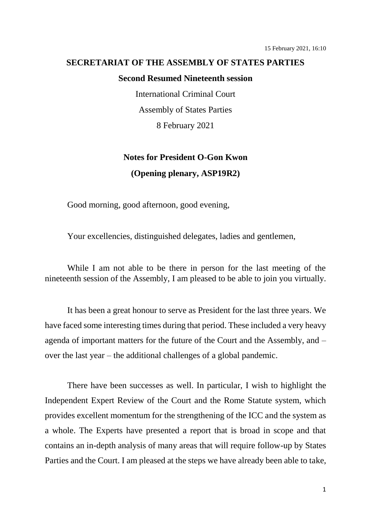## **SECRETARIAT OF THE ASSEMBLY OF STATES PARTIES**

## **Second Resumed Nineteenth session**

International Criminal Court Assembly of States Parties 8 February 2021

## **Notes for President O-Gon Kwon (Opening plenary, ASP19R2)**

Good morning, good afternoon, good evening,

Your excellencies, distinguished delegates, ladies and gentlemen,

While I am not able to be there in person for the last meeting of the nineteenth session of the Assembly, I am pleased to be able to join you virtually.

It has been a great honour to serve as President for the last three years. We have faced some interesting times during that period. These included a very heavy agenda of important matters for the future of the Court and the Assembly, and – over the last year – the additional challenges of a global pandemic.

There have been successes as well. In particular, I wish to highlight the Independent Expert Review of the Court and the Rome Statute system, which provides excellent momentum for the strengthening of the ICC and the system as a whole. The Experts have presented a report that is broad in scope and that contains an in-depth analysis of many areas that will require follow-up by States Parties and the Court. I am pleased at the steps we have already been able to take,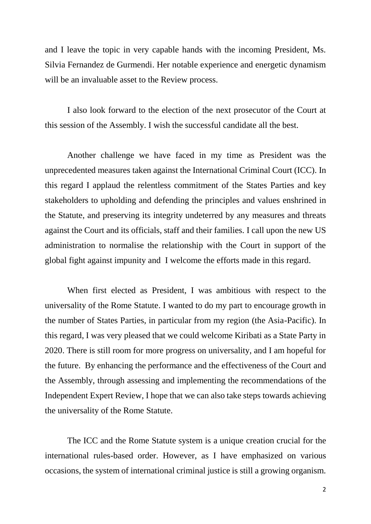and I leave the topic in very capable hands with the incoming President, Ms. Silvia Fernandez de Gurmendi. Her notable experience and energetic dynamism will be an invaluable asset to the Review process.

I also look forward to the election of the next prosecutor of the Court at this session of the Assembly. I wish the successful candidate all the best.

Another challenge we have faced in my time as President was the unprecedented measures taken against the International Criminal Court (ICC). In this regard I applaud the relentless commitment of the States Parties and key stakeholders to upholding and defending the principles and values enshrined in the Statute, and preserving its integrity undeterred by any measures and threats against the Court and its officials, staff and their families. I call upon the new US administration to normalise the relationship with the Court in support of the global fight against impunity and I welcome the efforts made in this regard.

When first elected as President, I was ambitious with respect to the universality of the Rome Statute. I wanted to do my part to encourage growth in the number of States Parties, in particular from my region (the Asia-Pacific). In this regard, I was very pleased that we could welcome Kiribati as a State Party in 2020. There is still room for more progress on universality, and I am hopeful for the future. By enhancing the performance and the effectiveness of the Court and the Assembly, through assessing and implementing the recommendations of the Independent Expert Review, I hope that we can also take steps towards achieving the universality of the Rome Statute.

The ICC and the Rome Statute system is a unique creation crucial for the international rules-based order. However, as I have emphasized on various occasions, the system of international criminal justice is still a growing organism.